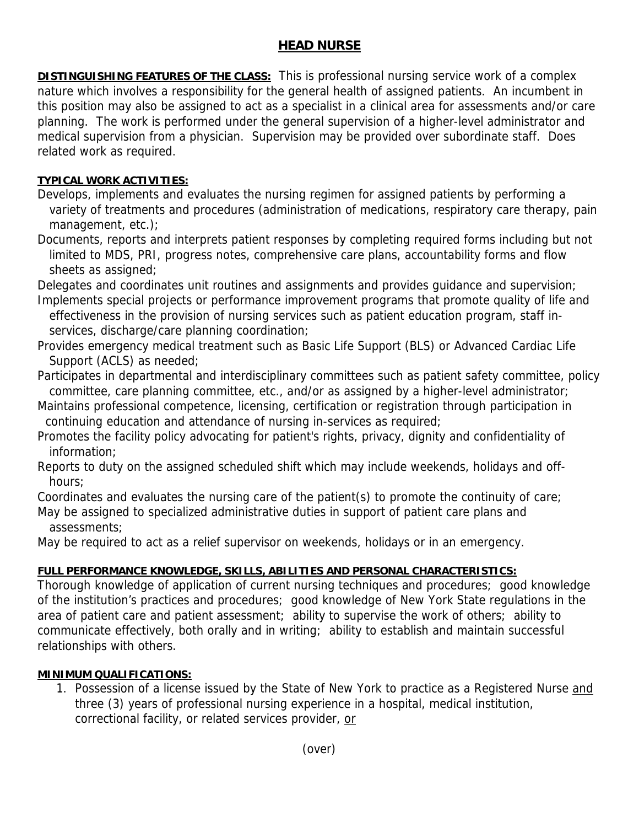# **HEAD NURSE**

**DISTINGUISHING FEATURES OF THE CLASS:** This is professional nursing service work of a complex nature which involves a responsibility for the general health of assigned patients. An incumbent in this position may also be assigned to act as a specialist in a clinical area for assessments and/or care planning. The work is performed under the general supervision of a higher-level administrator and medical supervision from a physician. Supervision may be provided over subordinate staff. Does related work as required.

### **TYPICAL WORK ACTIVITIES:**

Develops, implements and evaluates the nursing regimen for assigned patients by performing a variety of treatments and procedures (administration of medications, respiratory care therapy, pain management, etc.);

Documents, reports and interprets patient responses by completing required forms including but not limited to MDS, PRI, progress notes, comprehensive care plans, accountability forms and flow sheets as assigned;

Delegates and coordinates unit routines and assignments and provides guidance and supervision;

Implements special projects or performance improvement programs that promote quality of life and effectiveness in the provision of nursing services such as patient education program, staff in services, discharge/care planning coordination;

Provides emergency medical treatment such as Basic Life Support (BLS) or Advanced Cardiac Life Support (ACLS) as needed;

Participates in departmental and interdisciplinary committees such as patient safety committee, policy committee, care planning committee, etc., and/or as assigned by a higher-level administrator;

Maintains professional competence, licensing, certification or registration through participation in continuing education and attendance of nursing in-services as required;

Promotes the facility policy advocating for patient's rights, privacy, dignity and confidentiality of information;

Reports to duty on the assigned scheduled shift which may include weekends, holidays and off hours;

Coordinates and evaluates the nursing care of the patient(s) to promote the continuity of care; May be assigned to specialized administrative duties in support of patient care plans and

assessments;

May be required to act as a relief supervisor on weekends, holidays or in an emergency.

# **FULL PERFORMANCE KNOWLEDGE, SKILLS, ABILITIES AND PERSONAL CHARACTERISTICS:**

Thorough knowledge of application of current nursing techniques and procedures; good knowledge of the institution's practices and procedures; good knowledge of New York State regulations in the area of patient care and patient assessment; ability to supervise the work of others; ability to communicate effectively, both orally and in writing; ability to establish and maintain successful relationships with others.

#### **MINIMUM QUALIFICATIONS:**

1. Possession of a license issued by the State of New York to practice as a Registered Nurse and three (3) years of professional nursing experience in a hospital, medical institution, correctional facility, or related services provider, or